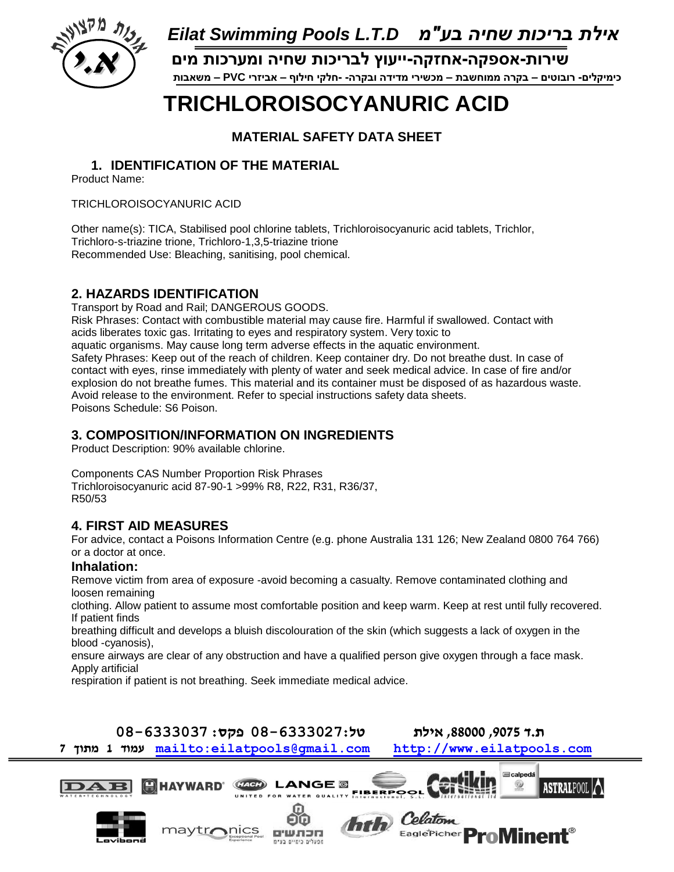

 **כימיקלים- רובוטים – בקרה ממוחשבת – מכשירי מדידה ובקרה- -חלקי חילוף – אביזרי PVC – משאבות א.י שירות-אספקה-אחזקה-ייעוץ לבריכות שחיה ומערכות מים**

# **TRICHLOROISOCYANURIC ACID**

**MATERIAL SAFETY DATA SHEET**

#### **1. IDENTIFICATION OF THE MATERIAL**

Product Name:

TRICHLOROISOCYANURIC ACID

Other name(s): TICA, Stabilised pool chlorine tablets, Trichloroisocyanuric acid tablets, Trichlor, Trichloro-s-triazine trione, Trichloro-1,3,5-triazine trione Recommended Use: Bleaching, sanitising, pool chemical.

### **2. HAZARDS IDENTIFICATION**

Transport by Road and Rail; DANGEROUS GOODS. Risk Phrases: Contact with combustible material may cause fire. Harmful if swallowed. Contact with acids liberates toxic gas. Irritating to eyes and respiratory system. Very toxic to aquatic organisms. May cause long term adverse effects in the aquatic environment. Safety Phrases: Keep out of the reach of children. Keep container dry. Do not breathe dust. In case of contact with eyes, rinse immediately with plenty of water and seek medical advice. In case of fire and/or explosion do not breathe fumes. This material and its container must be disposed of as hazardous waste. Avoid release to the environment. Refer to special instructions safety data sheets. Poisons Schedule: S6 Poison.

#### **3. COMPOSITION/INFORMATION ON INGREDIENTS**

Product Description: 90% available chlorine.

Components CAS Number Proportion Risk Phrases Trichloroisocyanuric acid 87-90-1 >99% R8, R22, R31, R36/37, R50/53

#### **4. FIRST AID MEASURES**

For advice, contact a Poisons Information Centre (e.g. phone Australia 131 126; New Zealand 0800 764 766) or a doctor at once.

#### **Inhalation:**

Remove victim from area of exposure -avoid becoming a casualty. Remove contaminated clothing and loosen remaining

clothing. Allow patient to assume most comfortable position and keep warm. Keep at rest until fully recovered. If patient finds

breathing difficult and develops a bluish discolouration of the skin (which suggests a lack of oxygen in the blood -cyanosis),

ensure airways are clear of any obstruction and have a qualified person give oxygen through a face mask. Apply artificial

respiration if patient is not breathing. Seek immediate medical advice.

**ת.ד ,9075 ,88000 אילת טל08-6333027: פקס: 08-6333037** 

**7 מתוך 1 עמוד <mailto:eilatpools@gmail.com>[http://www.eilatpools.com](http://www.eilatpools.com/)**

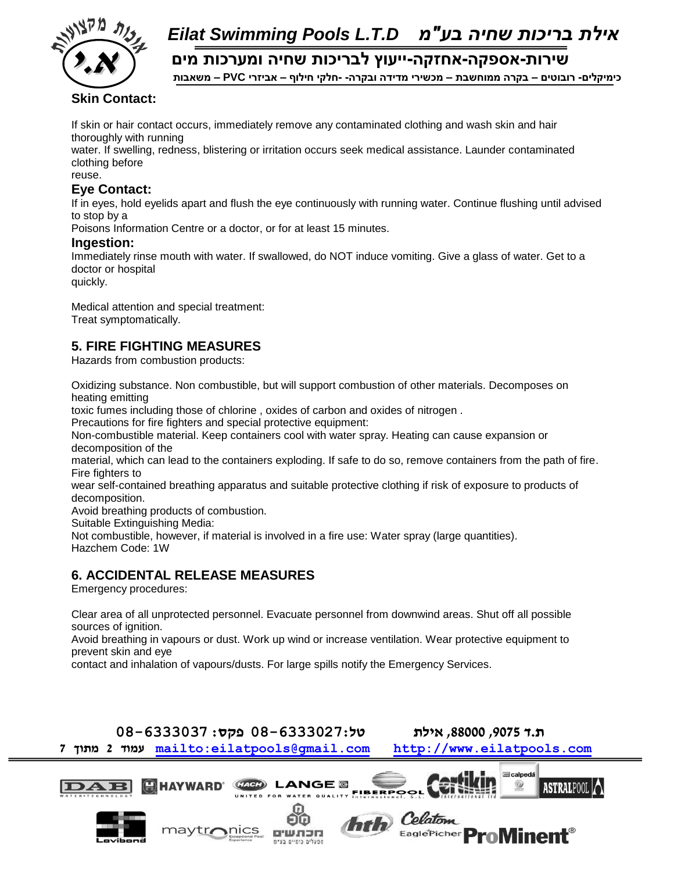

**א.י שירות-אספקה-אחזקה-ייעוץ לבריכות שחיה ומערכות מים**

 **כימיקלים- רובוטים – בקרה ממוחשבת – מכשירי מדידה ובקרה- -חלקי חילוף – אביזרי PVC – משאבות** 

#### **Skin Contact:**

If skin or hair contact occurs, immediately remove any contaminated clothing and wash skin and hair thoroughly with running

water. If swelling, redness, blistering or irritation occurs seek medical assistance. Launder contaminated clothing before

reuse.

#### **Eye Contact:**

If in eyes, hold eyelids apart and flush the eye continuously with running water. Continue flushing until advised to stop by a

Poisons Information Centre or a doctor, or for at least 15 minutes.

#### **Ingestion:**

Immediately rinse mouth with water. If swallowed, do NOT induce vomiting. Give a glass of water. Get to a doctor or hospital

quickly.

Medical attention and special treatment: Treat symptomatically.

#### **5. FIRE FIGHTING MEASURES**

Hazards from combustion products:

Oxidizing substance. Non combustible, but will support combustion of other materials. Decomposes on heating emitting

toxic fumes including those of chlorine , oxides of carbon and oxides of nitrogen .

Precautions for fire fighters and special protective equipment:

Non-combustible material. Keep containers cool with water spray. Heating can cause expansion or decomposition of the

material, which can lead to the containers exploding. If safe to do so, remove containers from the path of fire. Fire fighters to

wear self-contained breathing apparatus and suitable protective clothing if risk of exposure to products of decomposition.

Avoid breathing products of combustion.

Suitable Extinguishing Media:

Not combustible, however, if material is involved in a fire use: Water spray (large quantities). Hazchem Code: 1W

#### **6. ACCIDENTAL RELEASE MEASURES**

Emergency procedures:

Clear area of all unprotected personnel. Evacuate personnel from downwind areas. Shut off all possible sources of ignition.

Avoid breathing in vapours or dust. Work up wind or increase ventilation. Wear protective equipment to prevent skin and eye

contact and inhalation of vapours/dusts. For large spills notify the Emergency Services.

### **ת.ד ,9075 ,88000 אילת טל08-6333027: פקס: 08-6333037**

**7 מתוך 2 עמוד <mailto:eilatpools@gmail.com>[http://www.eilatpools.com](http://www.eilatpools.com/)**

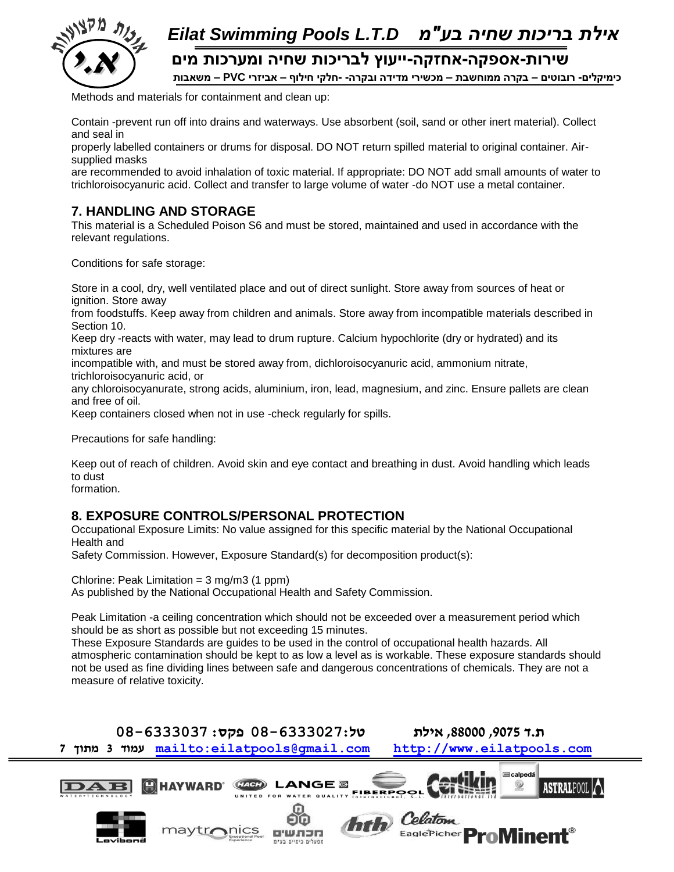

 **כימיקלים- רובוטים – בקרה ממוחשבת – מכשירי מדידה ובקרה- -חלקי חילוף – אביזרי PVC – משאבות א.י שירות-אספקה-אחזקה-ייעוץ לבריכות שחיה ומערכות מים**

Methods and materials for containment and clean up:

Contain -prevent run off into drains and waterways. Use absorbent (soil, sand or other inert material). Collect and seal in

properly labelled containers or drums for disposal. DO NOT return spilled material to original container. Airsupplied masks

are recommended to avoid inhalation of toxic material. If appropriate: DO NOT add small amounts of water to trichloroisocyanuric acid. Collect and transfer to large volume of water -do NOT use a metal container.

#### **7. HANDLING AND STORAGE**

This material is a Scheduled Poison S6 and must be stored, maintained and used in accordance with the relevant regulations.

Conditions for safe storage:

Store in a cool, dry, well ventilated place and out of direct sunlight. Store away from sources of heat or ignition. Store away

from foodstuffs. Keep away from children and animals. Store away from incompatible materials described in Section 10.

Keep dry -reacts with water, may lead to drum rupture. Calcium hypochlorite (dry or hydrated) and its mixtures are

incompatible with, and must be stored away from, dichloroisocyanuric acid, ammonium nitrate, trichloroisocyanuric acid, or

any chloroisocyanurate, strong acids, aluminium, iron, lead, magnesium, and zinc. Ensure pallets are clean and free of oil.

Keep containers closed when not in use -check regularly for spills.

Precautions for safe handling:

Keep out of reach of children. Avoid skin and eye contact and breathing in dust. Avoid handling which leads to dust

formation.

#### **8. EXPOSURE CONTROLS/PERSONAL PROTECTION**

Occupational Exposure Limits: No value assigned for this specific material by the National Occupational Health and

Safety Commission. However, Exposure Standard(s) for decomposition product(s):

Chlorine: Peak Limitation =  $3 \text{ mg/m}$  $3 (1 \text{ ppm})$ As published by the National Occupational Health and Safety Commission.

Peak Limitation -a ceiling concentration which should not be exceeded over a measurement period which should be as short as possible but not exceeding 15 minutes.

These Exposure Standards are guides to be used in the control of occupational health hazards. All atmospheric contamination should be kept to as low a level as is workable. These exposure standards should not be used as fine dividing lines between safe and dangerous concentrations of chemicals. They are not a measure of relative toxicity.

**ת.ד ,9075 ,88000 אילת טל08-6333027: פקס: 08-6333037 7 מתוך 3 עמוד <mailto:eilatpools@gmail.com>[http://www.eilatpools.com](http://www.eilatpools.com/)**

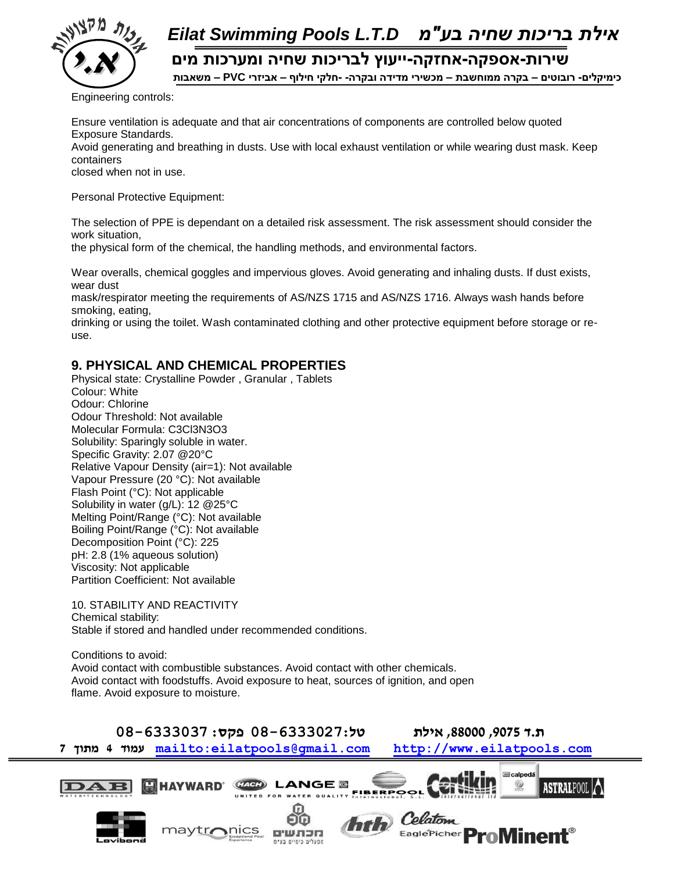

 **כימיקלים- רובוטים – בקרה ממוחשבת – מכשירי מדידה ובקרה- -חלקי חילוף – אביזרי PVC – משאבות א.י שירות-אספקה-אחזקה-ייעוץ לבריכות שחיה ומערכות מים**

Engineering controls:

Ensure ventilation is adequate and that air concentrations of components are controlled below quoted Exposure Standards.

Avoid generating and breathing in dusts. Use with local exhaust ventilation or while wearing dust mask. Keep containers

closed when not in use.

Personal Protective Equipment:

The selection of PPE is dependant on a detailed risk assessment. The risk assessment should consider the work situation,

the physical form of the chemical, the handling methods, and environmental factors.

Wear overalls, chemical goggles and impervious gloves. Avoid generating and inhaling dusts. If dust exists, wear dust

mask/respirator meeting the requirements of AS/NZS 1715 and AS/NZS 1716. Always wash hands before smoking, eating,

drinking or using the toilet. Wash contaminated clothing and other protective equipment before storage or reuse.

#### **9. PHYSICAL AND CHEMICAL PROPERTIES**

Physical state: Crystalline Powder , Granular , Tablets Colour: White Odour: Chlorine Odour Threshold: Not available Molecular Formula: C3Cl3N3O3 Solubility: Sparingly soluble in water. Specific Gravity: 2.07 @20°C Relative Vapour Density (air=1): Not available Vapour Pressure (20 °C): Not available Flash Point (°C): Not applicable Solubility in water (g/L): 12 @25°C Melting Point/Range (°C): Not available Boiling Point/Range (°C): Not available Decomposition Point (°C): 225 pH: 2.8 (1% aqueous solution) Viscosity: Not applicable Partition Coefficient: Not available

10. STABILITY AND REACTIVITY Chemical stability: Stable if stored and handled under recommended conditions.

Conditions to avoid: Avoid contact with combustible substances. Avoid contact with other chemicals. Avoid contact with foodstuffs. Avoid exposure to heat, sources of ignition, and open flame. Avoid exposure to moisture.

**ת.ד ,9075 ,88000 אילת טל08-6333027: פקס: 08-6333037** 

**7 מתוך 4 עמוד <mailto:eilatpools@gmail.com>[http://www.eilatpools.com](http://www.eilatpools.com/)**

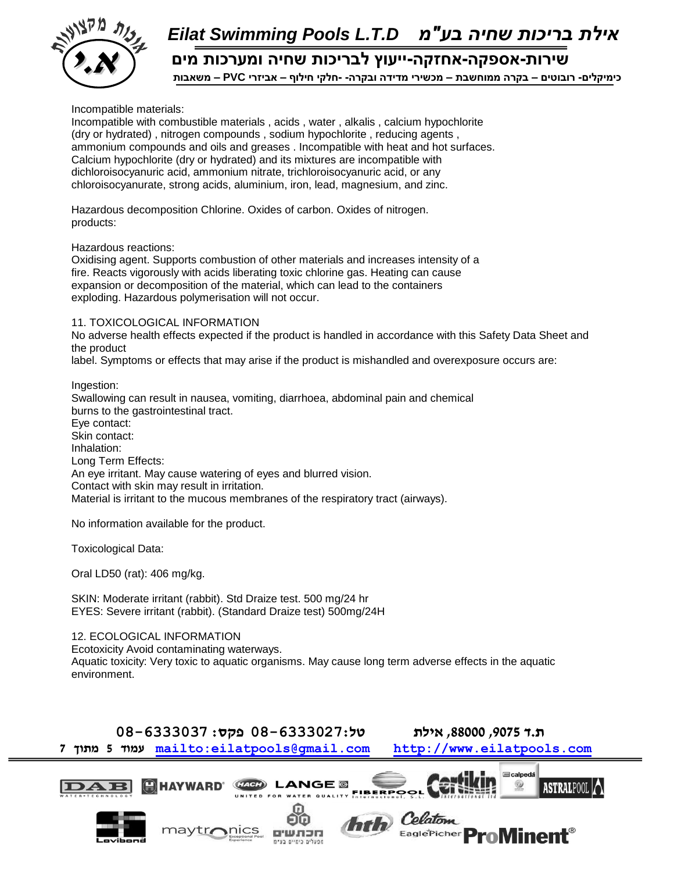

 **כימיקלים- רובוטים – בקרה ממוחשבת – מכשירי מדידה ובקרה- -חלקי חילוף – אביזרי PVC – משאבות א.י שירות-אספקה-אחזקה-ייעוץ לבריכות שחיה ומערכות מים**

Incompatible materials:

Incompatible with combustible materials , acids , water , alkalis , calcium hypochlorite (dry or hydrated) , nitrogen compounds , sodium hypochlorite , reducing agents , ammonium compounds and oils and greases . Incompatible with heat and hot surfaces. Calcium hypochlorite (dry or hydrated) and its mixtures are incompatible with dichloroisocyanuric acid, ammonium nitrate, trichloroisocyanuric acid, or any chloroisocyanurate, strong acids, aluminium, iron, lead, magnesium, and zinc.

Hazardous decomposition Chlorine. Oxides of carbon. Oxides of nitrogen. products:

Hazardous reactions:

Oxidising agent. Supports combustion of other materials and increases intensity of a fire. Reacts vigorously with acids liberating toxic chlorine gas. Heating can cause expansion or decomposition of the material, which can lead to the containers exploding. Hazardous polymerisation will not occur.

#### 11. TOXICOLOGICAL INFORMATION

No adverse health effects expected if the product is handled in accordance with this Safety Data Sheet and the product

label. Symptoms or effects that may arise if the product is mishandled and overexposure occurs are:

Ingestion: Swallowing can result in nausea, vomiting, diarrhoea, abdominal pain and chemical burns to the gastrointestinal tract. Eye contact: Skin contact: Inhalation: Long Term Effects: An eye irritant. May cause watering of eyes and blurred vision. Contact with skin may result in irritation. Material is irritant to the mucous membranes of the respiratory tract (airways).

No information available for the product.

Toxicological Data:

Oral LD50 (rat): 406 mg/kg.

SKIN: Moderate irritant (rabbit). Std Draize test. 500 mg/24 hr EYES: Severe irritant (rabbit). (Standard Draize test) 500mg/24H

12. ECOLOGICAL INFORMATION

Ecotoxicity Avoid contaminating waterways. Aquatic toxicity: Very toxic to aquatic organisms. May cause long term adverse effects in the aquatic environment.

**ת.ד ,9075 ,88000 אילת טל08-6333027: פקס: 08-6333037** 

**7 מתוך 5 עמוד <mailto:eilatpools@gmail.com>[http://www.eilatpools.com](http://www.eilatpools.com/)**

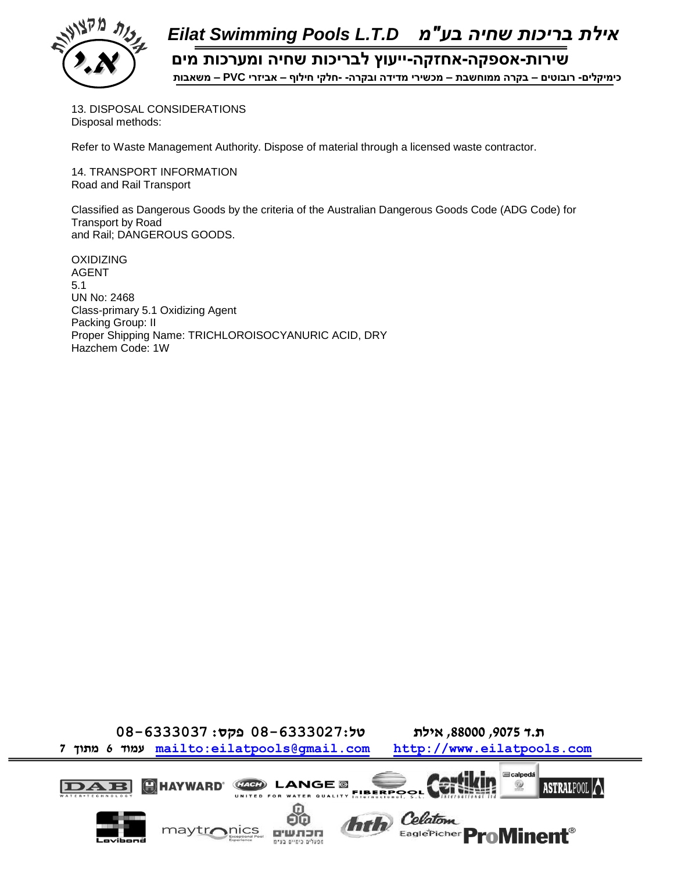

 **כימיקלים- רובוטים – בקרה ממוחשבת – מכשירי מדידה ובקרה- -חלקי חילוף – אביזרי PVC – משאבות א.י שירות-אספקה-אחזקה-ייעוץ לבריכות שחיה ומערכות מים**

13. DISPOSAL CONSIDERATIONS Disposal methods:

Refer to Waste Management Authority. Dispose of material through a licensed waste contractor.

14. TRANSPORT INFORMATION Road and Rail Transport

Classified as Dangerous Goods by the criteria of the Australian Dangerous Goods Code (ADG Code) for Transport by Road and Rail; DANGEROUS GOODS.

OXIDIZING AGENT 5.1 UN No: 2468 Class-primary 5.1 Oxidizing Agent Packing Group: II Proper Shipping Name: TRICHLOROISOCYANURIC ACID, DRY Hazchem Code: 1W